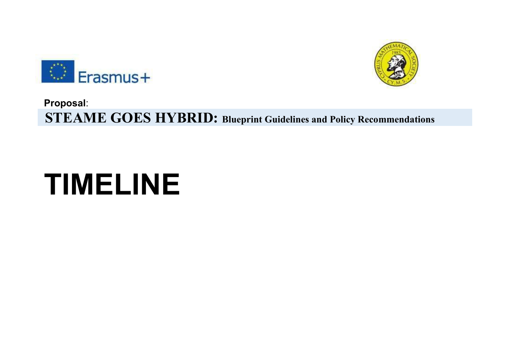



## **Proposal**:  **STEAME GOES HYBRID: Blueprint Guidelines and Policy Recommendations**

## **TIMELINE**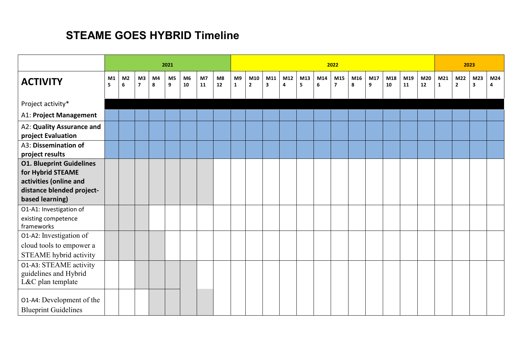## **STEAME GOES HYBRID Timeline**

|                                                                                |         |                     |                                |         | 2021    |                      |          |          |                    |                       |          |          | 2023     |          |                       |          |          |           |           |           |                     |                     |                                |          |
|--------------------------------------------------------------------------------|---------|---------------------|--------------------------------|---------|---------|----------------------|----------|----------|--------------------|-----------------------|----------|----------|----------|----------|-----------------------|----------|----------|-----------|-----------|-----------|---------------------|---------------------|--------------------------------|----------|
| <b>ACTIVITY</b>                                                                | M1<br>5 | M <sub>2</sub><br>6 | M3<br>$\overline{\phantom{a}}$ | M4<br>8 | M5<br>9 | M <sub>6</sub><br>10 | M7<br>11 | M8<br>12 | M9<br>$\mathbf{1}$ | M10<br>$\overline{2}$ | M11<br>3 | M12<br>4 | M13<br>5 | M14<br>6 | M15<br>$\overline{7}$ | M16<br>8 | M17<br>9 | M18<br>10 | M19<br>11 | M20<br>12 | M21<br>$\mathbf{1}$ | M22<br>$\mathbf{2}$ | M23<br>$\overline{\mathbf{3}}$ | M24<br>4 |
| Project activity*                                                              |         |                     |                                |         |         |                      |          |          |                    |                       |          |          |          |          |                       |          |          |           |           |           |                     |                     |                                |          |
| A1: Project Management                                                         |         |                     |                                |         |         |                      |          |          |                    |                       |          |          |          |          |                       |          |          |           |           |           |                     |                     |                                |          |
| A2: Quality Assurance and<br>project Evaluation                                |         |                     |                                |         |         |                      |          |          |                    |                       |          |          |          |          |                       |          |          |           |           |           |                     |                     |                                |          |
| A3: Dissemination of<br>project results                                        |         |                     |                                |         |         |                      |          |          |                    |                       |          |          |          |          |                       |          |          |           |           |           |                     |                     |                                |          |
| <b>O1. Blueprint Guidelines</b><br>for Hybrid STEAME<br>activities (online and |         |                     |                                |         |         |                      |          |          |                    |                       |          |          |          |          |                       |          |          |           |           |           |                     |                     |                                |          |
| distance blended project-<br>based learning)                                   |         |                     |                                |         |         |                      |          |          |                    |                       |          |          |          |          |                       |          |          |           |           |           |                     |                     |                                |          |
| O1-A1: Investigation of<br>existing competence<br>frameworks                   |         |                     |                                |         |         |                      |          |          |                    |                       |          |          |          |          |                       |          |          |           |           |           |                     |                     |                                |          |
| O1-A2: Investigation of<br>cloud tools to empower a<br>STEAME hybrid activity  |         |                     |                                |         |         |                      |          |          |                    |                       |          |          |          |          |                       |          |          |           |           |           |                     |                     |                                |          |
| 01-A3: STEAME activity<br>guidelines and Hybrid<br>L&C plan template           |         |                     |                                |         |         |                      |          |          |                    |                       |          |          |          |          |                       |          |          |           |           |           |                     |                     |                                |          |
| 01-A4: Development of the<br><b>Blueprint Guidelines</b>                       |         |                     |                                |         |         |                      |          |          |                    |                       |          |          |          |          |                       |          |          |           |           |           |                     |                     |                                |          |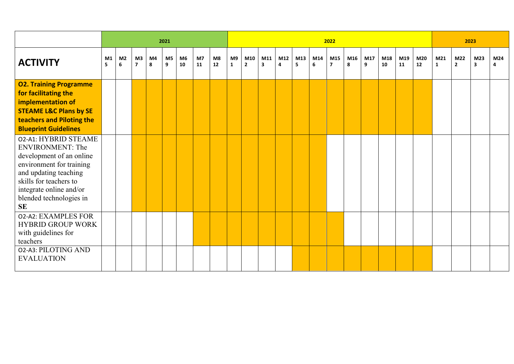|                                                                                                                                                                                                                               |         |                     |                               |         | 2021                |                      |          |          |                    |                       |          |          | 2023     |          |                       |          |          |           |           |           |                     |                       |                                |                       |
|-------------------------------------------------------------------------------------------------------------------------------------------------------------------------------------------------------------------------------|---------|---------------------|-------------------------------|---------|---------------------|----------------------|----------|----------|--------------------|-----------------------|----------|----------|----------|----------|-----------------------|----------|----------|-----------|-----------|-----------|---------------------|-----------------------|--------------------------------|-----------------------|
| <b>ACTIVITY</b>                                                                                                                                                                                                               | M1<br>5 | M <sub>2</sub><br>6 | M3<br>$\overline{\mathbf{z}}$ | M4<br>8 | M <sub>5</sub><br>9 | M <sub>6</sub><br>10 | M7<br>11 | M8<br>12 | M9<br>$\mathbf{1}$ | M10<br>$\overline{2}$ | M11<br>3 | M12<br>4 | M13<br>5 | M14<br>6 | M15<br>$\overline{7}$ | M16<br>8 | M17<br>9 | M18<br>10 | M19<br>11 | M20<br>12 | M21<br>$\mathbf{1}$ | M22<br>$\overline{2}$ | M23<br>$\overline{\mathbf{3}}$ | M24<br>$\overline{a}$ |
| <b>O2. Training Programme</b><br>for facilitating the<br>implementation of<br><b>STEAME L&amp;C Plans by SE</b><br>teachers and Piloting the<br><b>Blueprint Guidelines</b>                                                   |         |                     |                               |         |                     |                      |          |          |                    |                       |          |          |          |          |                       |          |          |           |           |           |                     |                       |                                |                       |
| 02-A1: HYBRID STEAME<br><b>ENVIRONMENT: The</b><br>development of an online<br>environment for training<br>and updating teaching<br>skills for teachers to<br>integrate online and/or<br>blended technologies in<br><b>SE</b> |         |                     |                               |         |                     |                      |          |          |                    |                       |          |          |          |          |                       |          |          |           |           |           |                     |                       |                                |                       |
| 02-A2: EXAMPLES FOR<br><b>HYBRID GROUP WORK</b><br>with guidelines for<br>teachers                                                                                                                                            |         |                     |                               |         |                     |                      |          |          |                    |                       |          |          |          |          |                       |          |          |           |           |           |                     |                       |                                |                       |
| 02-A3: PILOTING AND<br><b>EVALUATION</b>                                                                                                                                                                                      |         |                     |                               |         |                     |                      |          |          |                    |                       |          |          |          |          |                       |          |          |           |           |           |                     |                       |                                |                       |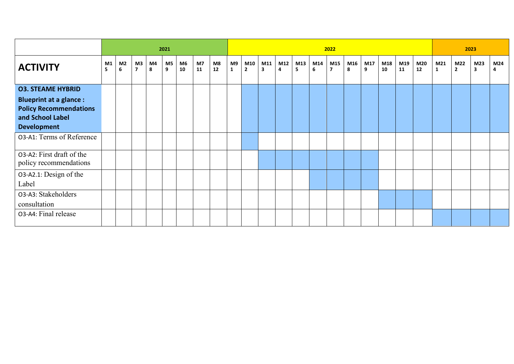|                                                                                                          |         |                     |                      |         | 2021    |          |          |            |         |                     |          |          | 2023     |          |                       |          |          |           |           |             |          |                     |                                |          |
|----------------------------------------------------------------------------------------------------------|---------|---------------------|----------------------|---------|---------|----------|----------|------------|---------|---------------------|----------|----------|----------|----------|-----------------------|----------|----------|-----------|-----------|-------------|----------|---------------------|--------------------------------|----------|
| <b>ACTIVITY</b>                                                                                          | M1<br>5 | M <sub>2</sub><br>6 | M3<br>$\overline{7}$ | M4<br>8 | M5<br>9 | M6<br>10 | M7<br>11 | M8<br>$12$ | M9<br>1 | M10<br>$\mathbf{2}$ | M11<br>3 | M12<br>4 | M13<br>5 | M14<br>6 | M15<br>$\overline{7}$ | M16<br>8 | M17<br>9 | M18<br>10 | M19<br>11 | M20<br>$12$ | M21<br>1 | M22<br>$\mathbf{2}$ | M23<br>$\overline{\mathbf{3}}$ | M24<br>4 |
| <b>03. STEAME HYBRID</b>                                                                                 |         |                     |                      |         |         |          |          |            |         |                     |          |          |          |          |                       |          |          |           |           |             |          |                     |                                |          |
| <b>Blueprint at a glance:</b><br><b>Policy Recommendations</b><br>and School Label<br><b>Development</b> |         |                     |                      |         |         |          |          |            |         |                     |          |          |          |          |                       |          |          |           |           |             |          |                     |                                |          |
| 03-A1: Terms of Reference                                                                                |         |                     |                      |         |         |          |          |            |         |                     |          |          |          |          |                       |          |          |           |           |             |          |                     |                                |          |
| 03-A2: First draft of the<br>policy recommendations                                                      |         |                     |                      |         |         |          |          |            |         |                     |          |          |          |          |                       |          |          |           |           |             |          |                     |                                |          |
| 03-A2.1: Design of the<br>Label                                                                          |         |                     |                      |         |         |          |          |            |         |                     |          |          |          |          |                       |          |          |           |           |             |          |                     |                                |          |
| 03-A3: Stakeholders<br>consultation                                                                      |         |                     |                      |         |         |          |          |            |         |                     |          |          |          |          |                       |          |          |           |           |             |          |                     |                                |          |
| 03-A4: Final release                                                                                     |         |                     |                      |         |         |          |          |            |         |                     |          |          |          |          |                       |          |          |           |           |             |          |                     |                                |          |